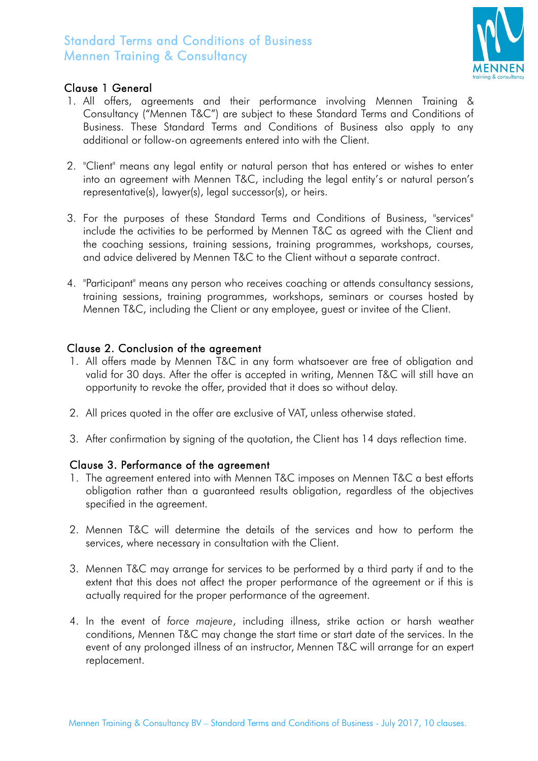

### Clause 1 General

- 1. All offers, agreements and their performance involving Mennen Training & Consultancy ("Mennen T&C") are subject to these Standard Terms and Conditions of Business. These Standard Terms and Conditions of Business also apply to any additional or follow-on agreements entered into with the Client.
- 2. "Client" means any legal entity or natural person that has entered or wishes to enter into an agreement with Mennen T&C, including the legal entity's or natural person's representative(s), lawyer(s), legal successor(s), or heirs.
- 3. For the purposes of these Standard Terms and Conditions of Business, "services" include the activities to be performed by Mennen T&C as agreed with the Client and the coaching sessions, training sessions, training programmes, workshops, courses, and advice delivered by Mennen T&C to the Client without a separate contract.
- 4. "Participant" means any person who receives coaching or attends consultancy sessions, training sessions, training programmes, workshops, seminars or courses hosted by Mennen T&C, including the Client or any employee, guest or invitee of the Client.

#### Clause 2. Conclusion of the agreement

- 1. All offers made by Mennen T&C in any form whatsoever are free of obligation and valid for 30 days. After the offer is accepted in writing, Mennen T&C will still have an opportunity to revoke the offer, provided that it does so without delay.
- 2. All prices quoted in the offer are exclusive of VAT, unless otherwise stated.
- 3. After confirmation by signing of the quotation, the Client has 14 days reflection time.

#### Clause 3. Performance of the agreement

- 1. The agreement entered into with Mennen T&C imposes on Mennen T&C a best efforts obligation rather than a guaranteed results obligation, regardless of the objectives specified in the agreement.
- 2. Mennen T&C will determine the details of the services and how to perform the services, where necessary in consultation with the Client.
- 3. Mennen T&C may arrange for services to be performed by a third party if and to the extent that this does not affect the proper performance of the agreement or if this is actually required for the proper performance of the agreement.
- 4. In the event of *force majeure*, including illness, strike action or harsh weather conditions, Mennen T&C may change the start time or start date of the services. In the event of any prolonged illness of an instructor, Mennen T&C will arrange for an expert replacement.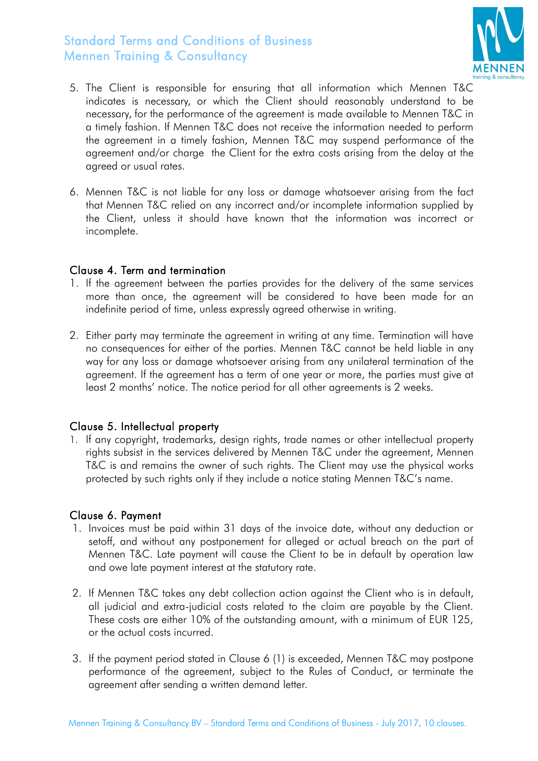

- 5. The Client is responsible for ensuring that all information which Mennen T&C indicates is necessary, or which the Client should reasonably understand to be necessary, for the performance of the agreement is made available to Mennen T&C in a timely fashion. If Mennen T&C does not receive the information needed to perform the agreement in a timely fashion, Mennen T&C may suspend performance of the agreement and/or charge the Client for the extra costs arising from the delay at the agreed or usual rates.
- 6. Mennen T&C is not liable for any loss or damage whatsoever arising from the fact that Mennen T&C relied on any incorrect and/or incomplete information supplied by the Client, unless it should have known that the information was incorrect or incomplete.

#### Clause 4. Term and termination

- 1. If the agreement between the parties provides for the delivery of the same services more than once, the agreement will be considered to have been made for an indefinite period of time, unless expressly agreed otherwise in writing.
- 2. Either party may terminate the agreement in writing at any time. Termination will have no consequences for either of the parties. Mennen T&C cannot be held liable in any way for any loss or damage whatsoever arising from any unilateral termination of the agreement. If the agreement has a term of one year or more, the parties must give at least 2 months' notice. The notice period for all other agreements is 2 weeks.

#### Clause 5. Intellectual property

1. If any copyright, trademarks, design rights, trade names or other intellectual property rights subsist in the services delivered by Mennen T&C under the agreement, Mennen T&C is and remains the owner of such rights. The Client may use the physical works protected by such rights only if they include a notice stating Mennen T&C's name.

#### Clause 6. Payment

- 1. Invoices must be paid within 31 days of the invoice date, without any deduction or setoff, and without any postponement for alleged or actual breach on the part of Mennen T&C. Late payment will cause the Client to be in default by operation law and owe late payment interest at the statutory rate.
- 2. If Mennen T&C takes any debt collection action against the Client who is in default, all judicial and extra-judicial costs related to the claim are payable by the Client. These costs are either 10% of the outstanding amount, with a minimum of EUR 125, or the actual costs incurred.
- 3. If the payment period stated in Clause 6 (1) is exceeded, Mennen T&C may postpone performance of the agreement, subject to the Rules of Conduct, or terminate the agreement after sending a written demand letter.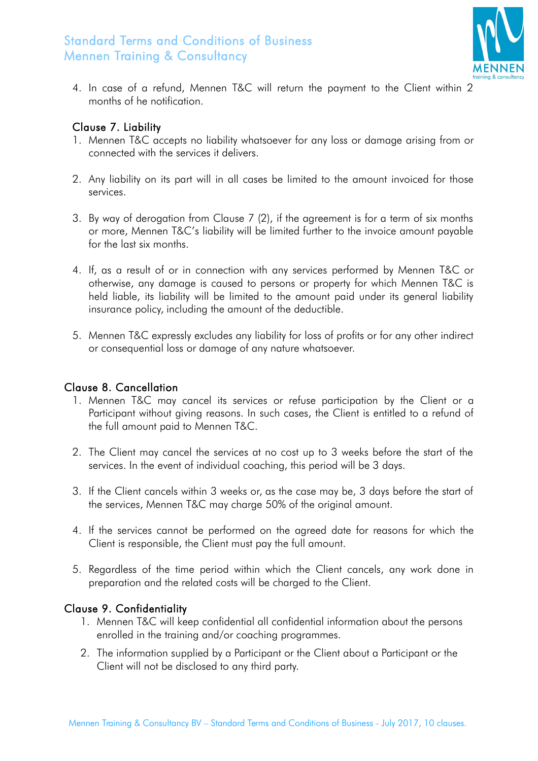

4. In case of a refund, Mennen T&C will return the payment to the Client within 2 months of he notification.

#### Clause 7. Liability

- 1. Mennen T&C accepts no liability whatsoever for any loss or damage arising from or connected with the services it delivers.
- 2. Any liability on its part will in all cases be limited to the amount invoiced for those services.
- 3. By way of derogation from Clause 7 (2), if the agreement is for a term of six months or more, Mennen T&C's liability will be limited further to the invoice amount payable for the last six months.
- 4. If, as a result of or in connection with any services performed by Mennen T&C or otherwise, any damage is caused to persons or property for which Mennen T&C is held liable, its liability will be limited to the amount paid under its general liability insurance policy, including the amount of the deductible.
- 5. Mennen T&C expressly excludes any liability for loss of profits or for any other indirect or consequential loss or damage of any nature whatsoever.

### Clause 8. Cancellation

- 1. Mennen T&C may cancel its services or refuse participation by the Client or a Participant without giving reasons. In such cases, the Client is entitled to a refund of the full amount paid to Mennen T&C.
- 2. The Client may cancel the services at no cost up to 3 weeks before the start of the services. In the event of individual coaching, this period will be 3 days.
- 3. If the Client cancels within 3 weeks or, as the case may be, 3 days before the start of the services, Mennen T&C may charge 50% of the original amount.
- 4. If the services cannot be performed on the agreed date for reasons for which the Client is responsible, the Client must pay the full amount.
- 5. Regardless of the time period within which the Client cancels, any work done in preparation and the related costs will be charged to the Client.

#### Clause 9. Confidentiality

- 1. Mennen T&C will keep confidential all confidential information about the persons enrolled in the training and/or coaching programmes.
- 2. The information supplied by a Participant or the Client about a Participant or the Client will not be disclosed to any third party.